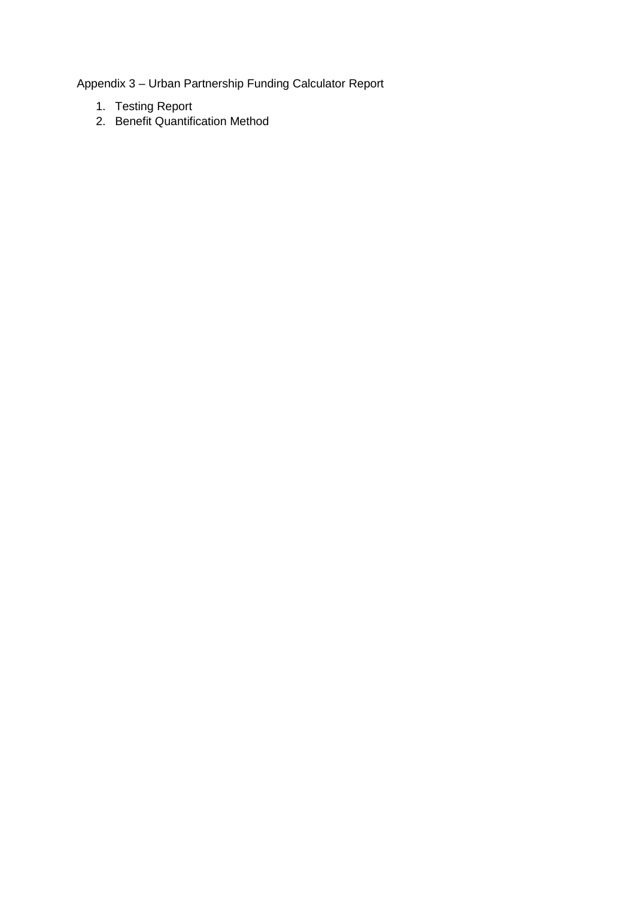Appendix 3 – Urban Partnership Funding Calculator Report

- 1. Testing Report
- 2. Benefit Quantification Method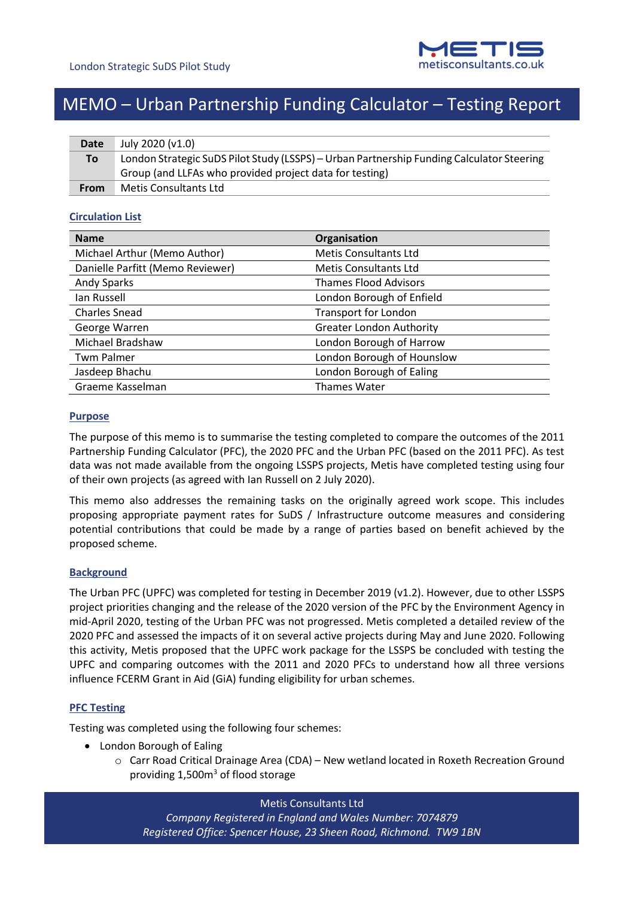

## MEMO – Urban Partnership Funding Calculator – Testing Report

| Date        | July 2020 (v1.0)                                                                          |
|-------------|-------------------------------------------------------------------------------------------|
| To          | London Strategic SuDS Pilot Study (LSSPS) - Urban Partnership Funding Calculator Steering |
|             | Group (and LLFAs who provided project data for testing)                                   |
| <b>From</b> | Metis Consultants Ltd                                                                     |

## **Circulation List**

| <b>Name</b>                      | Organisation                    |
|----------------------------------|---------------------------------|
| Michael Arthur (Memo Author)     | <b>Metis Consultants Ltd</b>    |
| Danielle Parfitt (Memo Reviewer) | <b>Metis Consultants Ltd</b>    |
| Andy Sparks                      | <b>Thames Flood Advisors</b>    |
| lan Russell                      | London Borough of Enfield       |
| <b>Charles Snead</b>             | <b>Transport for London</b>     |
| George Warren                    | <b>Greater London Authority</b> |
| Michael Bradshaw                 | London Borough of Harrow        |
| <b>Twm Palmer</b>                | London Borough of Hounslow      |
| Jasdeep Bhachu                   | London Borough of Ealing        |
| Graeme Kasselman                 | <b>Thames Water</b>             |

## **Purpose**

The purpose of this memo is to summarise the testing completed to compare the outcomes of the 2011 Partnership Funding Calculator (PFC), the 2020 PFC and the Urban PFC (based on the 2011 PFC). As test data was not made available from the ongoing LSSPS projects, Metis have completed testing using four of their own projects (as agreed with Ian Russell on 2 July 2020).

This memo also addresses the remaining tasks on the originally agreed work scope. This includes proposing appropriate payment rates for SuDS / Infrastructure outcome measures and considering potential contributions that could be made by a range of parties based on benefit achieved by the proposed scheme.

## **Background**

The Urban PFC (UPFC) was completed for testing in December 2019 (v1.2). However, due to other LSSPS project priorities changing and the release of the 2020 version of the PFC by the Environment Agency in mid-April 2020, testing of the Urban PFC was not progressed. Metis completed a detailed review of the 2020 PFC and assessed the impacts of it on several active projects during May and June 2020. Following this activity, Metis proposed that the UPFC work package for the LSSPS be concluded with testing the UPFC and comparing outcomes with the 2011 and 2020 PFCs to understand how all three versions influence FCERM Grant in Aid (GiA) funding eligibility for urban schemes.

## **PFC Testing**

Testing was completed using the following four schemes:

- London Borough of Ealing
	- o Carr Road Critical Drainage Area (CDA) New wetland located in Roxeth Recreation Ground providing  $1,500m<sup>3</sup>$  of flood storage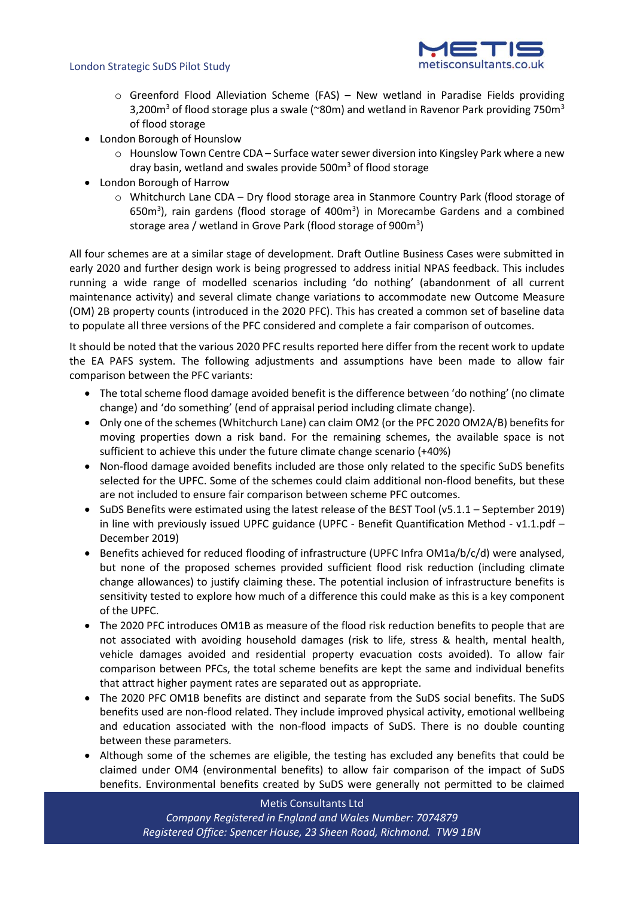

- $\circ$  Greenford Flood Alleviation Scheme (FAS) New wetland in Paradise Fields providing 3,200 $m<sup>3</sup>$  of flood storage plus a swale (~80m) and wetland in Ravenor Park providing 750 $m<sup>3</sup>$ of flood storage
- London Borough of Hounslow
	- o Hounslow Town Centre CDA Surface water sewer diversion into Kingsley Park where a new dray basin, wetland and swales provide  $500<sup>m</sup>$  of flood storage
- London Borough of Harrow
	- o Whitchurch Lane CDA Dry flood storage area in Stanmore Country Park (flood storage of 650m<sup>3</sup>), rain gardens (flood storage of 400m<sup>3</sup>) in Morecambe Gardens and a combined storage area / wetland in Grove Park (flood storage of 900 $m^3$ )

All four schemes are at a similar stage of development. Draft Outline Business Cases were submitted in early 2020 and further design work is being progressed to address initial NPAS feedback. This includes running a wide range of modelled scenarios including 'do nothing' (abandonment of all current maintenance activity) and several climate change variations to accommodate new Outcome Measure (OM) 2B property counts (introduced in the 2020 PFC). This has created a common set of baseline data to populate all three versions of the PFC considered and complete a fair comparison of outcomes.

It should be noted that the various 2020 PFC results reported here differ from the recent work to update the EA PAFS system. The following adjustments and assumptions have been made to allow fair comparison between the PFC variants:

- The total scheme flood damage avoided benefit is the difference between 'do nothing' (no climate change) and 'do something' (end of appraisal period including climate change).
- Only one of the schemes (Whitchurch Lane) can claim OM2 (or the PFC 2020 OM2A/B) benefits for moving properties down a risk band. For the remaining schemes, the available space is not sufficient to achieve this under the future climate change scenario (+40%)
- Non-flood damage avoided benefits included are those only related to the specific SuDS benefits selected for the UPFC. Some of the schemes could claim additional non-flood benefits, but these are not included to ensure fair comparison between scheme PFC outcomes.
- SuDS Benefits were estimated using the latest release of the B£ST Tool (v5.1.1 September 2019) in line with previously issued UPFC guidance (UPFC - Benefit Quantification Method - v1.1.pdf – December 2019)
- Benefits achieved for reduced flooding of infrastructure (UPFC Infra OM1a/b/c/d) were analysed, but none of the proposed schemes provided sufficient flood risk reduction (including climate change allowances) to justify claiming these. The potential inclusion of infrastructure benefits is sensitivity tested to explore how much of a difference this could make as this is a key component of the UPFC.
- The 2020 PFC introduces OM1B as measure of the flood risk reduction benefits to people that are not associated with avoiding household damages (risk to life, stress & health, mental health, vehicle damages avoided and residential property evacuation costs avoided). To allow fair comparison between PFCs, the total scheme benefits are kept the same and individual benefits that attract higher payment rates are separated out as appropriate.
- The 2020 PFC OM1B benefits are distinct and separate from the SuDS social benefits. The SuDS benefits used are non-flood related. They include improved physical activity, emotional wellbeing and education associated with the non-flood impacts of SuDS. There is no double counting between these parameters.
- Although some of the schemes are eligible, the testing has excluded any benefits that could be claimed under OM4 (environmental benefits) to allow fair comparison of the impact of SuDS benefits. Environmental benefits created by SuDS were generally not permitted to be claimed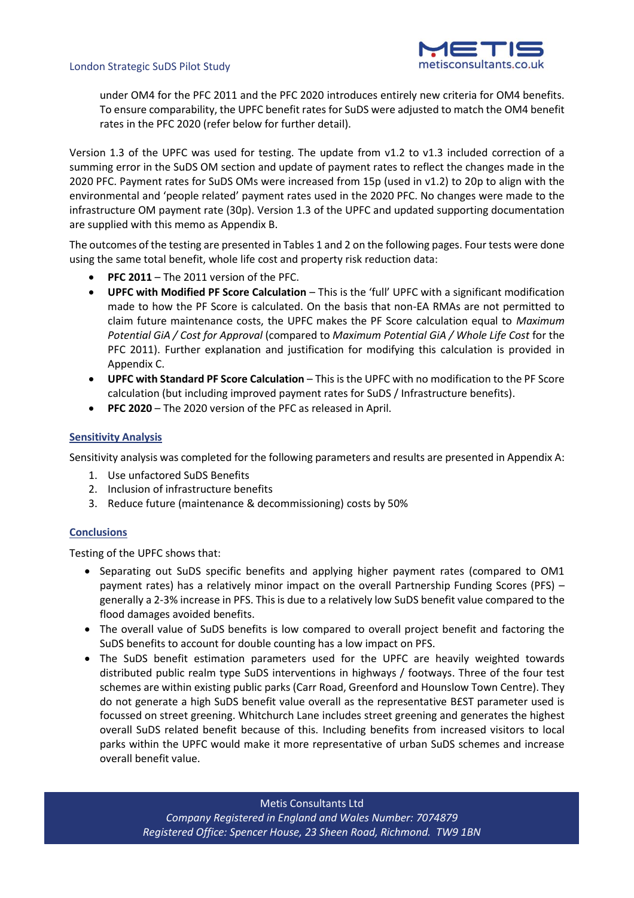

under OM4 for the PFC 2011 and the PFC 2020 introduces entirely new criteria for OM4 benefits. To ensure comparability, the UPFC benefit rates for SuDS were adjusted to match the OM4 benefit rates in the PFC 2020 (refer below for further detail).

Version 1.3 of the UPFC was used for testing. The update from v1.2 to v1.3 included correction of a summing error in the SuDS OM section and update of payment rates to reflect the changes made in the 2020 PFC. Payment rates for SuDS OMs were increased from 15p (used in v1.2) to 20p to align with the environmental and 'people related' payment rates used in the 2020 PFC. No changes were made to the infrastructure OM payment rate (30p). Version 1.3 of the UPFC and updated supporting documentation are supplied with this memo as Appendix B.

The outcomes of the testing are presented in Tables 1 and 2 on the following pages. Four tests were done using the same total benefit, whole life cost and property risk reduction data:

- **PFC 2011** The 2011 version of the PFC.
- **UPFC with Modified PF Score Calculation** This is the 'full' UPFC with a significant modification made to how the PF Score is calculated. On the basis that non-EA RMAs are not permitted to claim future maintenance costs, the UPFC makes the PF Score calculation equal to *Maximum Potential GiA / Cost for Approval* (compared to *Maximum Potential GiA / Whole Life Cost* for the PFC 2011). Further explanation and justification for modifying this calculation is provided in Appendix C.
- **UPFC with Standard PF Score Calculation** This is the UPFC with no modification to the PF Score calculation (but including improved payment rates for SuDS / Infrastructure benefits).
- **PFC 2020** The 2020 version of the PFC as released in April.

## **Sensitivity Analysis**

Sensitivity analysis was completed for the following parameters and results are presented in Appendix A:

- 1. Use unfactored SuDS Benefits
- 2. Inclusion of infrastructure benefits
- 3. Reduce future (maintenance & decommissioning) costs by 50%

## **Conclusions**

Testing of the UPFC shows that:

- Separating out SuDS specific benefits and applying higher payment rates (compared to OM1 payment rates) has a relatively minor impact on the overall Partnership Funding Scores (PFS) – generally a 2-3% increase in PFS. This is due to a relatively low SuDS benefit value compared to the flood damages avoided benefits.
- The overall value of SuDS benefits is low compared to overall project benefit and factoring the SuDS benefits to account for double counting has a low impact on PFS.
- The SuDS benefit estimation parameters used for the UPFC are heavily weighted towards distributed public realm type SuDS interventions in highways / footways. Three of the four test schemes are within existing public parks (Carr Road, Greenford and Hounslow Town Centre). They do not generate a high SuDS benefit value overall as the representative B£ST parameter used is focussed on street greening. Whitchurch Lane includes street greening and generates the highest overall SuDS related benefit because of this. Including benefits from increased visitors to local parks within the UPFC would make it more representative of urban SuDS schemes and increase overall benefit value.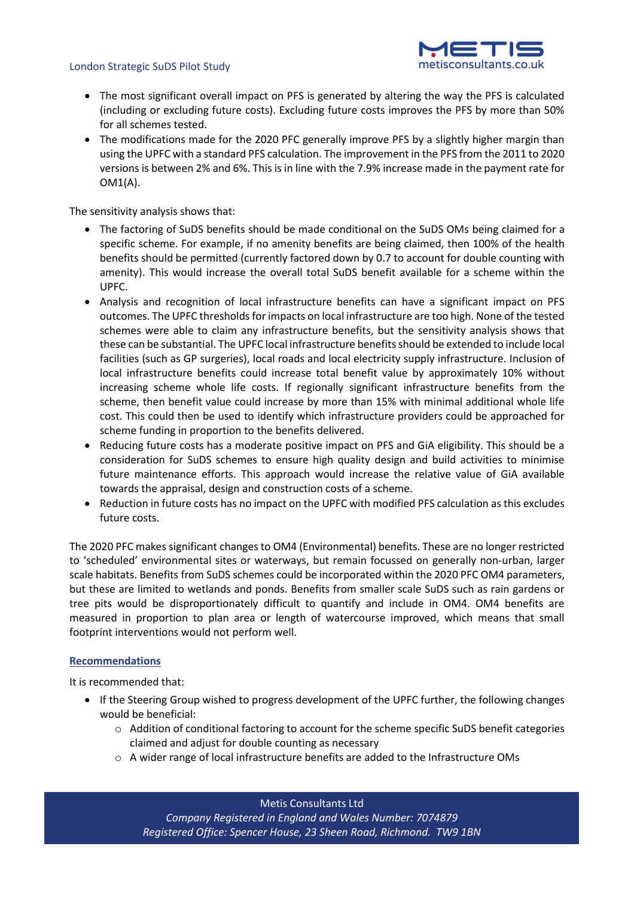

- The most significant overall impact on PFS is generated by altering the way the PFS is calculated (including or excluding future costs). Excluding future costs improves the PFS by more than 50% for all schemes tested.
- The modifications made for the 2020 PFC generally improve PFS by a slightly higher margin than using the UPFC with a standard PFS calculation. The improvement in the PFS from the 2011 to 2020 versions is between 2% and 6%. This is in line with the 7.9% increase made in the payment rate for OM1(A).

The sensitivity analysis shows that:

- The factoring of SuDS benefits should be made conditional on the SuDS OMs being claimed for a specific scheme. For example, if no amenity benefits are being claimed, then 100% of the health benefits should be permitted (currently factored down by 0.7 to account for double counting with amenity). This would increase the overall total SuDS benefit available for a scheme within the UPFC.
- Analysis and recognition of local infrastructure benefits can have a significant impact on PFS outcomes. The UPFC thresholds for impacts on local infrastructure are too high. None of the tested schemes were able to claim any infrastructure benefits, but the sensitivity analysis shows that these can be substantial. The UPFC local infrastructure benefits should be extended to include local facilities (such as GP surgeries), local roads and local electricity supply infrastructure. Inclusion of local infrastructure benefits could increase total benefit value by approximately 10% without increasing scheme whole life costs. If regionally significant infrastructure benefits from the scheme, then benefit value could increase by more than 15% with minimal additional whole life cost. This could then be used to identify which infrastructure providers could be approached for scheme funding in proportion to the benefits delivered.
- Reducing future costs has a moderate positive impact on PFS and GiA eligibility. This should be a consideration for SuDS schemes to ensure high quality design and build activities to minimise future maintenance efforts. This approach would increase the relative value of GiA available towards the appraisal, design and construction costs of a scheme.
- Reduction in future costs has no impact on the UPFC with modified PFS calculation as this excludes future costs.

The 2020 PFC makes significant changes to OM4 (Environmental) benefits. These are no longer restricted to 'scheduled' environmental sites or waterways, but remain focussed on generally non-urban, larger scale habitats. Benefits from SuDS schemes could be incorporated within the 2020 PFC OM4 parameters, but these are limited to wetlands and ponds. Benefits from smaller scale SuDS such as rain gardens or tree pits would be disproportionately difficult to quantify and include in OM4. OM4 benefits are measured in proportion to plan area or length of watercourse improved, which means that small footprint interventions would not perform well.

## **Recommendations**

It is recommended that:

- If the Steering Group wished to progress development of the UPFC further, the following changes would be beneficial:
	- o Addition of conditional factoring to account for the scheme specific SuDS benefit categories claimed and adjust for double counting as necessary
	- o A wider range of local infrastructure benefits are added to the Infrastructure OMs

Metis Consultants Ltd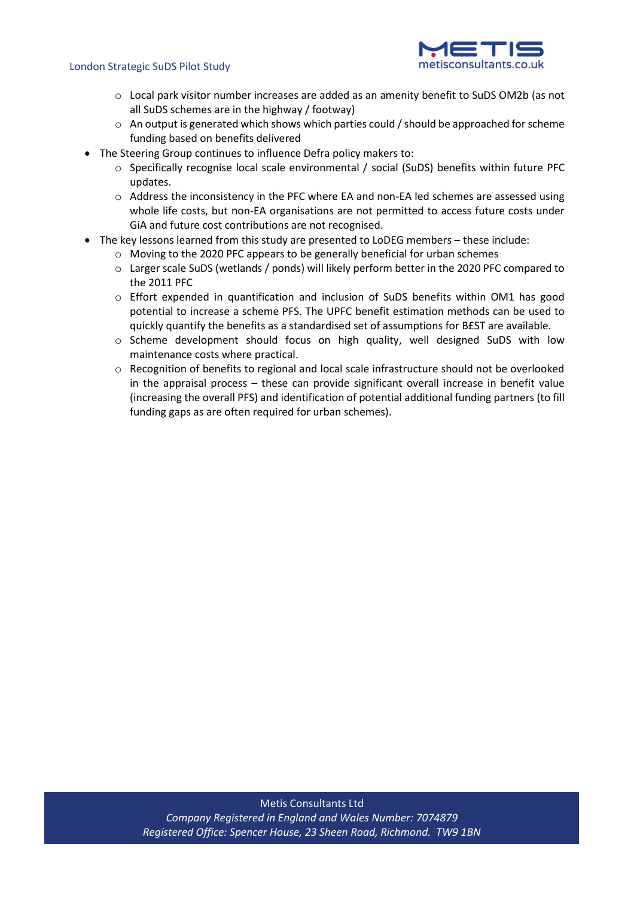

- o Local park visitor number increases are added as an amenity benefit to SuDS OM2b (as not all SuDS schemes are in the highway / footway)
- o An output is generated which shows which parties could / should be approached for scheme funding based on benefits delivered
- The Steering Group continues to influence Defra policy makers to:
	- o Specifically recognise local scale environmental / social (SuDS) benefits within future PFC updates.
	- o Address the inconsistency in the PFC where EA and non-EA led schemes are assessed using whole life costs, but non-EA organisations are not permitted to access future costs under GiA and future cost contributions are not recognised.
- The key lessons learned from this study are presented to LoDEG members these include:
	- o Moving to the 2020 PFC appears to be generally beneficial for urban schemes
	- o Larger scale SuDS (wetlands / ponds) will likely perform better in the 2020 PFC compared to the 2011 PFC
	- o Effort expended in quantification and inclusion of SuDS benefits within OM1 has good potential to increase a scheme PFS. The UPFC benefit estimation methods can be used to quickly quantify the benefits as a standardised set of assumptions for B£ST are available.
	- o Scheme development should focus on high quality, well designed SuDS with low maintenance costs where practical.
	- o Recognition of benefits to regional and local scale infrastructure should not be overlooked in the appraisal process – these can provide significant overall increase in benefit value (increasing the overall PFS) and identification of potential additional funding partners (to fill funding gaps as are often required for urban schemes).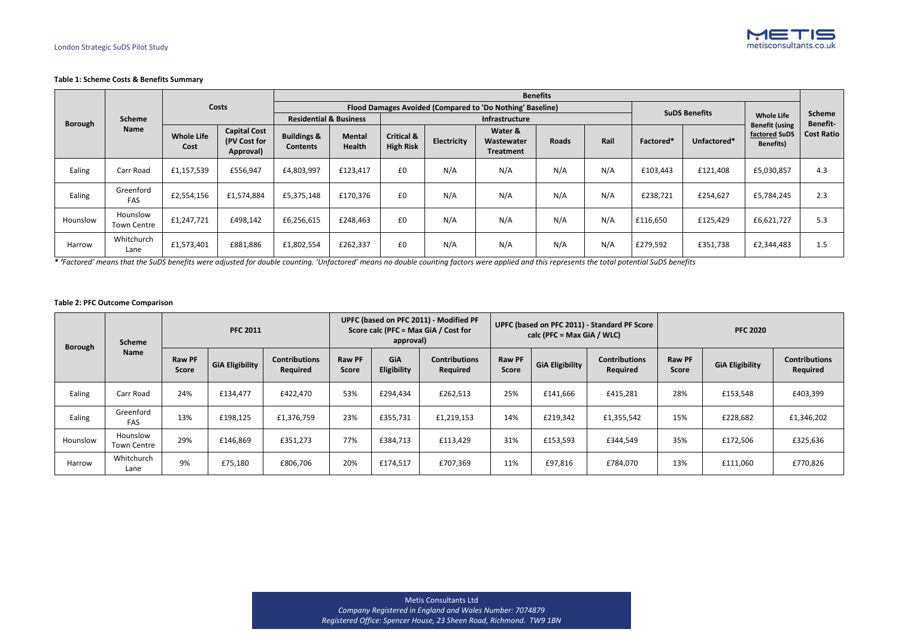

## **Table 1: Scheme Costs & Benefits Summary**

|                |                                |                           |                                                        |                                           |                                |                                           |                    |                                                           | <b>Benefits</b> |      |           |                      |                                                             |                   |
|----------------|--------------------------------|---------------------------|--------------------------------------------------------|-------------------------------------------|--------------------------------|-------------------------------------------|--------------------|-----------------------------------------------------------|-----------------|------|-----------|----------------------|-------------------------------------------------------------|-------------------|
|                |                                |                           | <b>Costs</b>                                           |                                           |                                |                                           |                    | Flood Damages Avoided (Compared to 'Do Nothing' Baseline) |                 |      |           | <b>SuDS Benefits</b> |                                                             |                   |
| <b>Borough</b> | <b>Scheme</b>                  |                           |                                                        | <b>Residential &amp; Business</b>         |                                |                                           |                    | Infrastructure                                            |                 |      |           | <b>Whole Life</b>    | <b>Scheme</b><br><b>Benefit-</b>                            |                   |
|                | <b>Name</b>                    | <b>Whole Life</b><br>Cost | <b>Capital Cost</b><br>(PV Cost for<br><b>Approval</b> | <b>Buildings &amp;</b><br><b>Contents</b> | <b>Mental</b><br><b>Health</b> | <b>Critical &amp;</b><br><b>High Risk</b> | <b>Electricity</b> | Water &<br>Wastewater<br><b>Treatment</b>                 | <b>Roads</b>    | Rail | Factored* | Unfactored*          | <b>Benefit (using</b><br>factored SuDS<br><b>Benefits</b> ) | <b>Cost Ratio</b> |
| Ealing         | Carr Road                      | £1,157,539                | £556,947                                               | £4,803,997                                | £123,417                       | £0                                        | N/A                | N/A                                                       | N/A             | N/A  | £103,443  | £121,408             | £5,030,857                                                  | 4.3               |
| Ealing         | Greenford<br><b>FAS</b>        | £2,554,156                | £1,574,884                                             | £5,375,148                                | £170,376                       | £0                                        | N/A                | N/A                                                       | N/A             | N/A  | £238,721  | £254,627             | £5,784,245                                                  | 2.3               |
| Hounslow       | Hounslow<br><b>Town Centre</b> | £1,247,721                | £498,142                                               | £6,256,615                                | £248,463                       | £0                                        | N/A                | N/A                                                       | N/A             | N/A  | £116,650  | £125,429             | £6,621,727                                                  | 5.3               |
| Harrow         | Whitchurch<br>Lane             | £1,573,401                | £881,886                                               | £1,802,554                                | £262,337                       | £0                                        | N/A                | N/A                                                       | N/A             | N/A  | £279,592  | £351,738             | £2,344,483                                                  | 1.5               |

*\* 'Factored' means that the SuDS benefits were adjusted for double counting. 'Unfactored' means no double counting factors were applied and this represents the total potential SuDS benefits*

## **Table 2: PFC Outcome Comparison**

| <b>Scheme</b><br><b>Borough</b><br><b>Name</b> |                                | <b>PFC 2011</b>               |                        |                                         | UPFC (based on PFC 2011) - Modified PF<br>Score calc (PFC = Max GiA / Cost for<br>approval) |                    |                                         |                               | calc (PFC = Max GiA / WLC) | UPFC (based on PFC 2011) - Standard PF Score | <b>PFC 2020</b>               |                        |                                         |  |
|------------------------------------------------|--------------------------------|-------------------------------|------------------------|-----------------------------------------|---------------------------------------------------------------------------------------------|--------------------|-----------------------------------------|-------------------------------|----------------------------|----------------------------------------------|-------------------------------|------------------------|-----------------------------------------|--|
|                                                |                                | <b>Raw PF</b><br><b>Score</b> | <b>GiA Eligibility</b> | <b>Contributions</b><br><b>Required</b> | <b>Raw PF</b><br><b>Score</b>                                                               | GiA<br>Eligibility | <b>Contributions</b><br><b>Required</b> | <b>Raw PF</b><br><b>Score</b> | <b>GiA Eligibility</b>     | <b>Contributions</b><br><b>Required</b>      | <b>Raw PF</b><br><b>Score</b> | <b>GiA Eligibility</b> | <b>Contributions</b><br><b>Required</b> |  |
| Ealing                                         | Carr Road                      | 24%                           | £134,477               | £422,470                                | 53%                                                                                         | £294,434           | £262,513                                | 25%                           | £141,666                   | £415,281                                     | 28%                           | £153,548               | £403,399                                |  |
| Ealing                                         | Greenford<br>FAS               | 13%                           | £198,125               | £1,376,759                              | 23%                                                                                         | £355,731           | £1,219,153                              | 14%                           | £219,342                   | £1,355,542                                   | 15%                           | £228,682               | £1,346,202                              |  |
| Hounslow                                       | Hounslow<br><b>Town Centre</b> | 29%                           | £146,869               | £351,273                                | 77%                                                                                         | £384,713           | £113,429                                | 31%                           | £153,593                   | £344,549                                     | 35%                           | £172,506               | £325,636                                |  |
| Harrow                                         | Whitchurch<br>Lane             | 9%                            | £75,180                | £806,706                                | 20%                                                                                         | £174,517           | £707,369                                | 11%                           | £97,816                    | £784,070                                     | 13%                           | £111,060               | £770,826                                |  |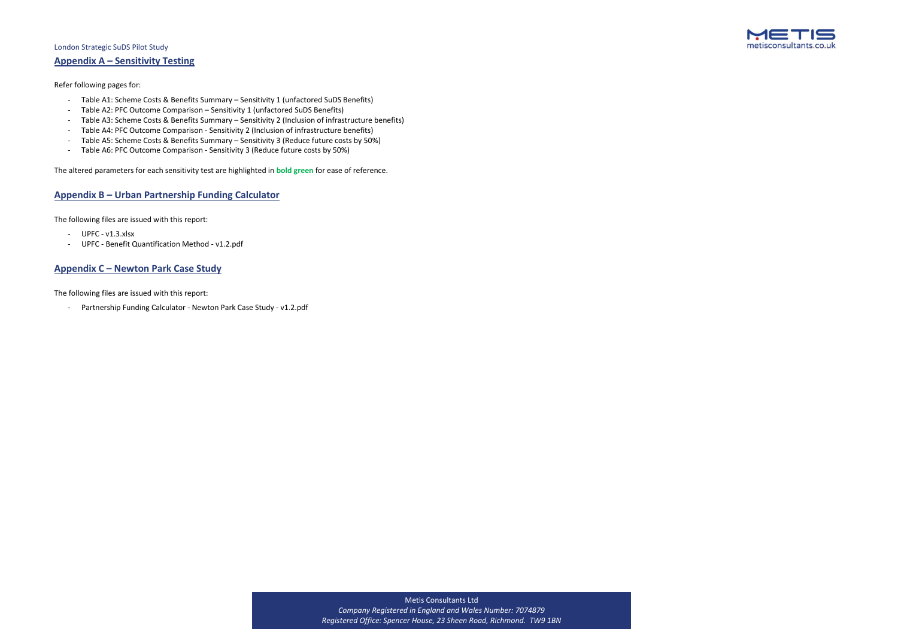## Metis Consultants Ltd *Company Registered in England and Wales Number: 7074879 Registered Office: Spencer House, 23 Sheen Road, Richmond. TW9 1BN*



## **Appendix A – Sensitivity Testing**

Refer following pages for:

- Table A1: Scheme Costs & Benefits Summary Sensitivity 1 (unfactored SuDS Benefits)
- Table A2: PFC Outcome Comparison Sensitivity 1 (unfactored SuDS Benefits)
- Table A3: Scheme Costs & Benefits Summary Sensitivity 2 (Inclusion of infrastructure benefits)
- Table A4: PFC Outcome Comparison Sensitivity 2 (Inclusion of infrastructure benefits)
- Table A5: Scheme Costs & Benefits Summary Sensitivity 3 (Reduce future costs by 50%)
- Table A6: PFC Outcome Comparison Sensitivity 3 (Reduce future costs by 50%)

- UPFC v1.3.xlsx
- UPFC Benefit Quantification Method v1.2.pdf

The altered parameters for each sensitivity test are highlighted in **bold green** for ease of reference.

## **Appendix B – Urban Partnership Funding Calculator**

The following files are issued with this report:

## **Appendix C – Newton Park Case Study**

The following files are issued with this report:

- Partnership Funding Calculator - Newton Park Case Study - v1.2.pdf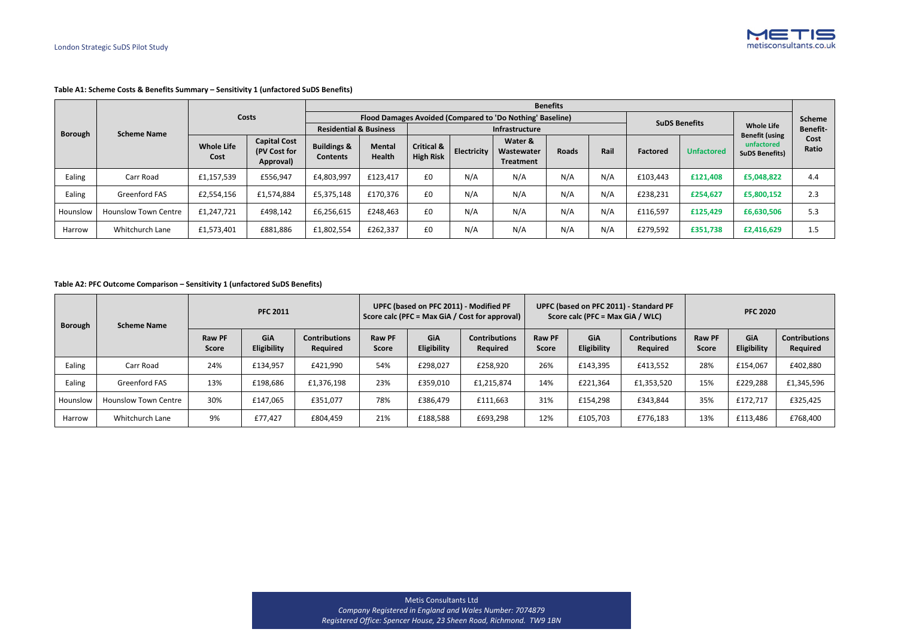Metis Consultants Ltd *Company Registered in England and Wales Number: 7074879 Registered Office: Spencer House, 23 Sheen Road, Richmond. TW9 1BN*



## **Table A1: Scheme Costs & Benefits Summary – Sensitivity 1 (unfactored SuDS Benefits)**

|                |                             |                           |                                                  |                                           | <b>Benefits</b>                |                                           |                    |                                                           |              |      |                 |                      |                                            |                 |  |  |
|----------------|-----------------------------|---------------------------|--------------------------------------------------|-------------------------------------------|--------------------------------|-------------------------------------------|--------------------|-----------------------------------------------------------|--------------|------|-----------------|----------------------|--------------------------------------------|-----------------|--|--|
|                |                             |                           | <b>Costs</b>                                     |                                           |                                |                                           |                    | Flood Damages Avoided (Compared to 'Do Nothing' Baseline) |              |      |                 | <b>SuDS Benefits</b> |                                            | <b>Scheme</b>   |  |  |
| <b>Borough</b> | <b>Scheme Name</b>          |                           |                                                  | <b>Residential &amp; Business</b>         |                                | Infrastructure                            |                    |                                                           |              |      |                 |                      | <b>Whole Life</b><br><b>Benefit (using</b> | <b>Benefit-</b> |  |  |
|                |                             | <b>Whole Life</b><br>Cost | <b>Capital Cost</b><br>(PV Cost for<br>Approval) | <b>Buildings &amp;</b><br><b>Contents</b> | <b>Mental</b><br><b>Health</b> | <b>Critical &amp;</b><br><b>High Risk</b> | <b>Electricity</b> | Water &<br>Wastewater<br><b>Treatment</b>                 | <b>Roads</b> | Rail | <b>Factored</b> | <b>Unfactored</b>    | unfactored<br><b>SuDS Benefits)</b>        | Cost<br>Ratio   |  |  |
| Ealing         | Carr Road                   | £1,157,539                | £556,947                                         | £4,803,997                                | £123,417                       | £0                                        | N/A                | N/A                                                       | N/A          | N/A  | £103,443        | £121,408             | £5,048,822                                 | 4.4             |  |  |
| Ealing         | <b>Greenford FAS</b>        | £2,554,156                | £1,574,884                                       | £5,375,148                                | £170,376                       | £0                                        | N/A                | N/A                                                       | N/A          | N/A  | £238,231        | £254,627             | £5,800,152                                 | 2.3             |  |  |
| Hounslow       | <b>Hounslow Town Centre</b> | £1,247,721                | £498,142                                         | £6,256,615                                | £248,463                       | £0                                        | N/A                | N/A                                                       | N/A          | N/A  | £116,597        | £125,429             | £6,630,506                                 | 5.3             |  |  |
| Harrow         | Whitchurch Lane             | £1,573,401                | £881,886                                         | £1,802,554                                | £262,337                       | £0                                        | N/A                | N/A                                                       | N/A          | N/A  | £279,592        | £351,738             | £2,416,629                                 | 1.5             |  |  |

## **Table A2: PFC Outcome Comparison – Sensitivity 1 (unfactored SuDS Benefits)**

| <b>Borough</b><br><b>Scheme Name</b> |                             |                               | <b>PFC 2011</b>    |                                  |                               | UPFC (based on PFC 2011) - Modified PF | Score calc (PFC = Max GiA / Cost for approval) |                               | Score calc (PFC = Max GiA / WLC) | UPFC (based on PFC 2011) - Standard PF | <b>PFC 2020</b>        |                                  |                                         |  |
|--------------------------------------|-----------------------------|-------------------------------|--------------------|----------------------------------|-------------------------------|----------------------------------------|------------------------------------------------|-------------------------------|----------------------------------|----------------------------------------|------------------------|----------------------------------|-----------------------------------------|--|
|                                      |                             | <b>Raw PF</b><br><b>Score</b> | GiA<br>Eligibility | <b>Contributions</b><br>Required | <b>Raw PF</b><br><b>Score</b> | <b>GiA</b><br>Eligibility              | <b>Contributions</b><br><b>Required</b>        | <b>Raw PF</b><br><b>Score</b> | GiA<br>Eligibility               | <b>Contributions</b><br>Required       | Raw PF<br><b>Score</b> | <b>GiA</b><br><b>Eligibility</b> | <b>Contributions</b><br><b>Required</b> |  |
| Ealing                               | Carr Road                   | 24%                           | £134,957           | £421,990                         | 54%                           | £298,027                               | £258,920                                       | 26%                           | £143,395                         | £413,552                               | 28%                    | £154,067                         | £402,880                                |  |
| Ealing                               | Greenford FAS               | 13%                           | £198,686           | £1,376,198                       | 23%                           | £359,010                               | £1,215,874                                     | 14%                           | £221,364                         | £1,353,520                             | 15%                    | £229,288                         | £1,345,596                              |  |
| Hounslow                             | <b>Hounslow Town Centre</b> | 30%                           | £147,065           | £351,077                         | 78%                           | £386,479                               | £111,663                                       | 31%                           | £154,298                         | £343,844                               | 35%                    | £172,717                         | £325,425                                |  |
| Harrow                               | Whitchurch Lane             | 9%                            | £77,427            | £804,459                         | 21%                           | £188,588                               | £693,298                                       | 12%                           | £105,703                         | £776,183                               | 13%                    | £113,486                         | £768,400                                |  |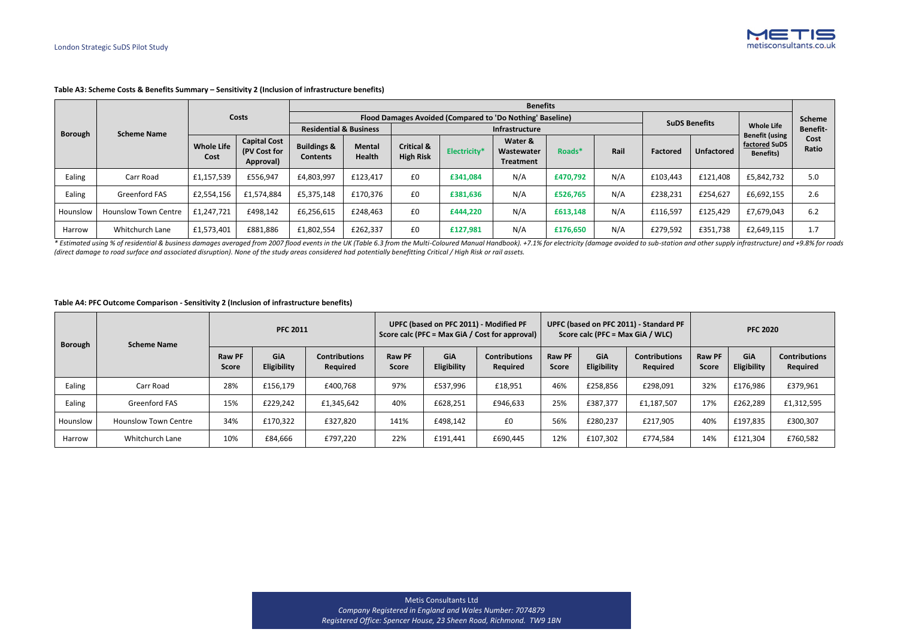Metis Consultants Ltd *Company Registered in England and Wales Number: 7074879 Registered Office: Spencer House, 23 Sheen Road, Richmond. TW9 1BN*



## **Table A3: Scheme Costs & Benefits Summary – Sensitivity 2 (Inclusion of infrastructure benefits)**

|                |                             |                           |                                                  |                                           | <b>Benefits</b>                |                                           |                     |                                                           |          |      |                                            |                      |                                   |               |  |  |  |
|----------------|-----------------------------|---------------------------|--------------------------------------------------|-------------------------------------------|--------------------------------|-------------------------------------------|---------------------|-----------------------------------------------------------|----------|------|--------------------------------------------|----------------------|-----------------------------------|---------------|--|--|--|
|                |                             |                           | <b>Costs</b>                                     |                                           |                                |                                           |                     | Flood Damages Avoided (Compared to 'Do Nothing' Baseline) |          |      |                                            | <b>SuDS Benefits</b> |                                   | <b>Scheme</b> |  |  |  |
| <b>Borough</b> | <b>Scheme Name</b>          |                           |                                                  | <b>Residential &amp; Business</b>         |                                |                                           |                     | Infrastructure                                            |          |      | <b>Whole Life</b><br><b>Benefit (using</b> | <b>Benefit-</b>      |                                   |               |  |  |  |
|                |                             | <b>Whole Life</b><br>Cost | <b>Capital Cost</b><br>(PV Cost for<br>Approval) | <b>Buildings &amp;</b><br><b>Contents</b> | <b>Mental</b><br><b>Health</b> | <b>Critical &amp;</b><br><b>High Risk</b> | <b>Electricity*</b> | Water &<br>Wastewater<br><b>Treatment</b>                 | Roads*   | Rail | Factored                                   | <b>Unfactored</b>    | factored SuDS<br><b>Benefits)</b> | Cost<br>Ratio |  |  |  |
| Ealing         | Carr Road                   | £1,157,539                | £556,947                                         | £4,803,997                                | £123,417                       | £0                                        | £341,084            | N/A                                                       | £470,792 | N/A  | £103,443                                   | £121,408             | £5,842,732                        | 5.0           |  |  |  |
| Ealing         | <b>Greenford FAS</b>        | £2,554,156                | £1,574,884                                       | £5,375,148                                | £170,376                       | £0                                        | £381,636            | N/A                                                       | £526,765 | N/A  | £238,231                                   | £254,627             | £6,692,155                        | 2.6           |  |  |  |
| Hounslow       | <b>Hounslow Town Centre</b> | £1,247,721                | £498,142                                         | £6,256,615                                | £248,463                       | £0                                        | £444,220            | N/A                                                       | £613,148 | N/A  | £116,597                                   | £125,429             | £7,679,043                        | 6.2           |  |  |  |
| Harrow         | Whitchurch Lane             | £1,573,401                | £881,886                                         | £1,802,554                                | £262,337                       | £0                                        | £127,981            | N/A                                                       | £176,650 | N/A  | £279,592                                   | £351,738             | £2,649,115                        | 1.7           |  |  |  |

\* Estimated using % of residential & business damages averaged from 2007 flood events in the UK (Table 6.3 from the Multi-Coloured Manual Handbook). +7.1% for electricity (damage avoided to sub-station and other supply inf *(direct damage to road surface and associated disruption). None of the study areas considered had potentially benefitting Critical / High Risk or rail assets.*

#### **Table A4: PFC Outcome Comparison - Sensitivity 2 (Inclusion of infrastructure benefits)**

| <b>Borough</b> | <b>Scheme Name</b>          | <b>PFC 2011</b>               |                           |                                  |                               | UPFC (based on PFC 2011) - Modified PF | Score calc (PFC = Max GiA / Cost for approval) |                               |                           | UPFC (based on PFC 2011) - Standard PF<br>Score calc (PFC = Max GiA / WLC) | <b>PFC 2020</b>               |                           |                                  |  |
|----------------|-----------------------------|-------------------------------|---------------------------|----------------------------------|-------------------------------|----------------------------------------|------------------------------------------------|-------------------------------|---------------------------|----------------------------------------------------------------------------|-------------------------------|---------------------------|----------------------------------|--|
|                |                             | <b>Raw PF</b><br><b>Score</b> | <b>GiA</b><br>Eligibility | <b>Contributions</b><br>Required | <b>Raw PF</b><br><b>Score</b> | <b>GiA</b><br>Eligibility              | <b>Contributions</b><br>Required               | <b>Raw PF</b><br><b>Score</b> | GiA<br><b>Eligibility</b> | <b>Contributions</b><br>Required                                           | <b>Raw PF</b><br><b>Score</b> | <b>GiA</b><br>Eligibility | <b>Contributions</b><br>Required |  |
| Ealing         | Carr Road                   | 28%                           | £156,179                  | £400,768                         | 97%                           | £537,996                               | £18,951                                        | 46%                           | £258,856                  | £298,091                                                                   | 32%                           | £176,986                  | £379,961                         |  |
| Ealing         | <b>Greenford FAS</b>        | 15%                           | £229,242                  | £1,345,642                       | 40%                           | £628,251                               | £946,633                                       | 25%                           | £387,377                  | £1,187,507                                                                 | 17%                           | £262,289                  | £1,312,595                       |  |
| Hounslow       | <b>Hounslow Town Centre</b> | 34%                           | £170,322                  | £327,820                         | 141%                          | £498,142                               | £0                                             | 56%                           | £280,237                  | £217,905                                                                   | 40%                           | £197,835                  | £300,307                         |  |
| Harrow         | Whitchurch Lane             | 10%                           | £84,666                   | £797,220                         | 22%                           | £191,441                               | £690,445                                       | 12%                           | £107,302                  | £774,584                                                                   | 14%                           | £121,304                  | £760,582                         |  |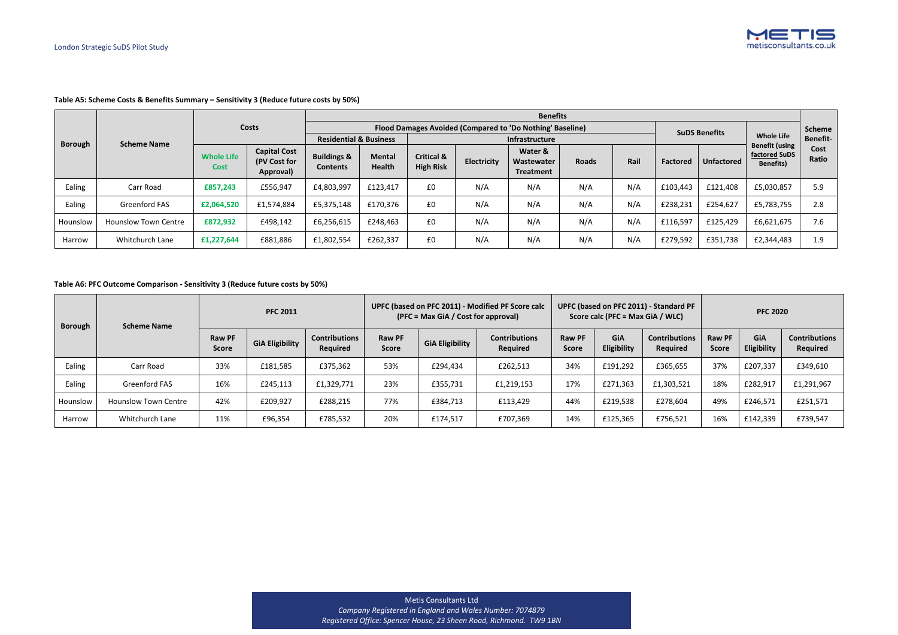Metis Consultants Ltd *Company Registered in England and Wales Number: 7074879 Registered Office: Spencer House, 23 Sheen Road, Richmond. TW9 1BN*



## **Table A5: Scheme Costs & Benefits Summary – Sensitivity 3 (Reduce future costs by 50%)**

|                |                             |                           |                                                  |                                           | <b>Benefits</b>                |                                           |             |                                                           |              |      |                 |                                            |                                    |               |  |  |
|----------------|-----------------------------|---------------------------|--------------------------------------------------|-------------------------------------------|--------------------------------|-------------------------------------------|-------------|-----------------------------------------------------------|--------------|------|-----------------|--------------------------------------------|------------------------------------|---------------|--|--|
|                |                             |                           | <b>Costs</b>                                     |                                           |                                |                                           |             | Flood Damages Avoided (Compared to 'Do Nothing' Baseline) |              |      |                 | <b>SuDS Benefits</b>                       |                                    | <b>Scheme</b> |  |  |
| <b>Borough</b> | <b>Scheme Name</b>          |                           |                                                  | <b>Residential &amp; Business</b>         |                                |                                           |             | Infrastructure                                            |              |      |                 | <b>Whole Life</b><br><b>Benefit (using</b> | <b>Benefit-</b>                    |               |  |  |
|                |                             | <b>Whole Life</b><br>Cost | <b>Capital Cost</b><br>(PV Cost for<br>Approval) | <b>Buildings &amp;</b><br><b>Contents</b> | <b>Mental</b><br><b>Health</b> | <b>Critical &amp;</b><br><b>High Risk</b> | Electricity | Water &<br>Wastewater<br><b>Treatment</b>                 | <b>Roads</b> | Rail | <b>Factored</b> | <b>Unfactored</b>                          | factored SuDS<br><b>Benefits</b> ) | Cost<br>Ratio |  |  |
| Ealing         | Carr Road                   | £857,243                  | £556,947                                         | £4,803,997                                | £123,417                       | £0                                        | N/A         | N/A                                                       | N/A          | N/A  | £103,443        | £121,408                                   | £5,030,857                         | 5.9           |  |  |
| Ealing         | <b>Greenford FAS</b>        | £2,064,520                | £1,574,884                                       | £5,375,148                                | £170,376                       | £0                                        | N/A         | N/A                                                       | N/A          | N/A  | £238,231        | £254,627                                   | £5,783,755                         | 2.8           |  |  |
| Hounslow       | <b>Hounslow Town Centre</b> | £872,932                  | £498,142                                         | £6,256,615                                | £248,463                       | £0                                        | N/A         | N/A                                                       | N/A          | N/A  | £116,597        | £125,429                                   | £6,621,675                         | 7.6           |  |  |
| Harrow         | Whitchurch Lane             | £1,227,644                | £881,886                                         | £1,802,554                                | £262,337                       | £0                                        | N/A         | N/A                                                       | N/A          | N/A  | £279,592        | £351,738                                   | £2,344,483                         | 1.9           |  |  |

## **Table A6: PFC Outcome Comparison - Sensitivity 3 (Reduce future costs by 50%)**

| Borough<br><b>Scheme Name</b> |                             |                               | <b>PFC 2011</b>        |                                         |                               | (PFC = Max GiA / Cost for approval) | UPFC (based on PFC 2011) - Modified PF Score calc |                               | Score calc (PFC = Max GiA / WLC) | UPFC (based on PFC 2011) - Standard PF  | <b>PFC 2020</b>               |                    |                                  |  |
|-------------------------------|-----------------------------|-------------------------------|------------------------|-----------------------------------------|-------------------------------|-------------------------------------|---------------------------------------------------|-------------------------------|----------------------------------|-----------------------------------------|-------------------------------|--------------------|----------------------------------|--|
|                               |                             | <b>Raw PF</b><br><b>Score</b> | <b>GiA Eligibility</b> | <b>Contributions</b><br><b>Required</b> | <b>Raw PF</b><br><b>Score</b> | <b>GiA Eligibility</b>              | <b>Contributions</b><br><b>Required</b>           | <b>Raw PF</b><br><b>Score</b> | <b>GiA</b><br><b>Eligibility</b> | <b>Contributions</b><br><b>Required</b> | <b>Raw PF</b><br><b>Score</b> | GiA<br>Eligibility | <b>Contributions</b><br>Required |  |
| Ealing                        | Carr Road                   | 33%                           | £181,585               | £375,362                                | 53%                           | £294,434                            | £262,513                                          | 34%                           | £191,292                         | £365,655                                | 37%                           | £207,337           | £349,610                         |  |
| Ealing                        | Greenford FAS               | 16%                           | £245,113               | £1,329,771                              | 23%                           | £355,731                            | £1,219,153                                        | 17%                           | £271,363                         | £1,303,521                              | 18%                           | £282,917           | £1,291,967                       |  |
| Hounslow                      | <b>Hounslow Town Centre</b> | 42%                           | £209,927               | £288,215                                | 77%                           | £384,713                            | £113,429                                          | 44%                           | £219,538                         | £278,604                                | 49%                           | £246,571           | £251,571                         |  |
| Harrow                        | Whitchurch Lane             | 11%                           | £96,354                | £785,532                                | 20%                           | £174,517                            | £707,369                                          | 14%                           | £125,365                         | £756,521                                | 16%                           | £142,339           | £739,547                         |  |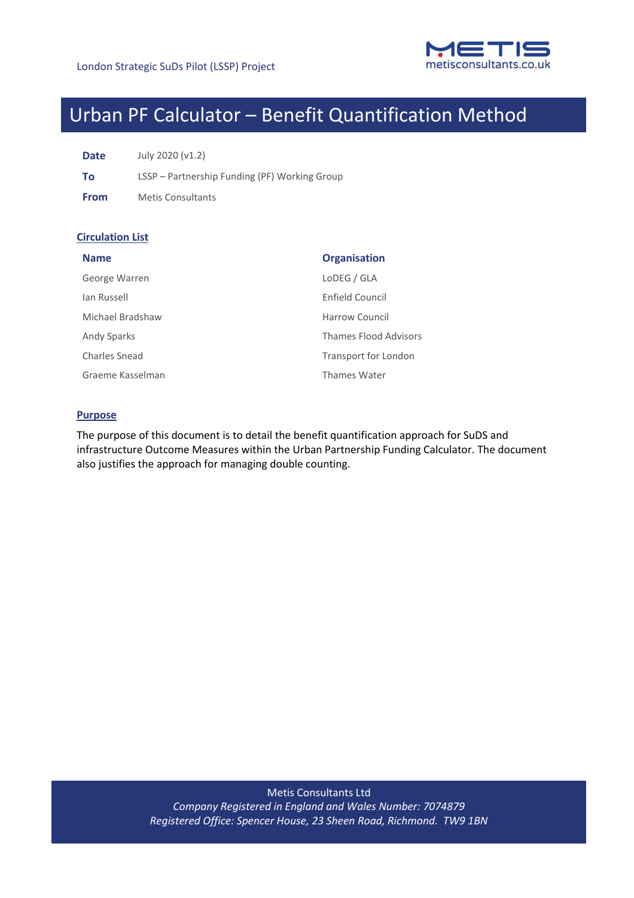

# Urban PF Calculator – Benefit Quantification Method

**Date** July 2020 (v1.2)

**To** LSSP – Partnership Funding (PF) Working Group

**From** Metis Consultants

## **Circulation List**

| <b>Name</b>      | <b>Organisation</b>          |
|------------------|------------------------------|
| George Warren    | LoDEG / GLA                  |
| lan Russell      | Enfield Council              |
| Michael Bradshaw | Harrow Council               |
| Andy Sparks      | <b>Thames Flood Advisors</b> |
| Charles Snead    | Transport for London         |
| Graeme Kasselman | Thames Water                 |

## **Purpose**

The purpose of this document is to detail the benefit quantification approach for SuDS and infrastructure Outcome Measures within the Urban Partnership Funding Calculator. The document also justifies the approach for managing double counting.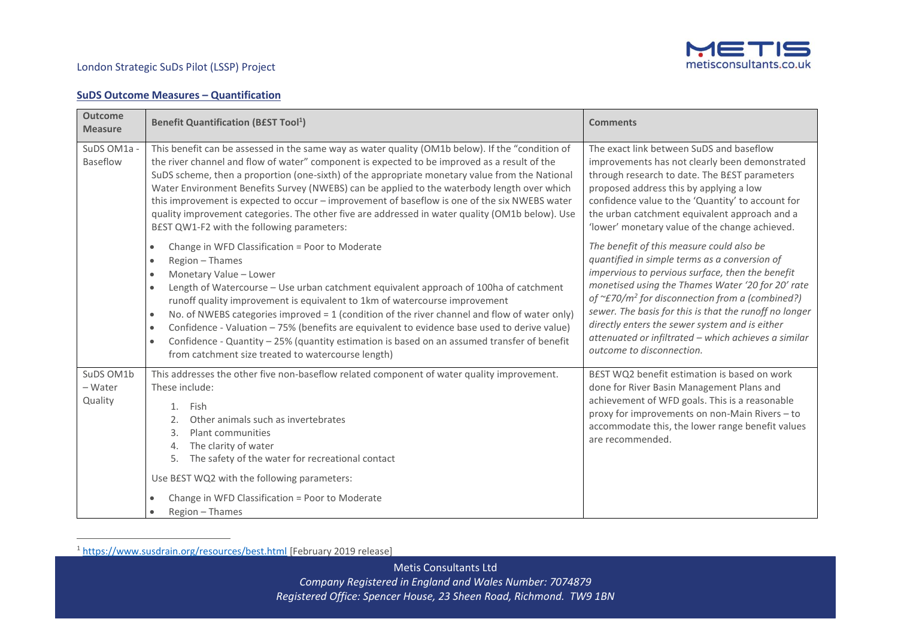

## **SuDS Outcome Measures – Quantification**

| <b>Outcome</b><br><b>Measure</b> | <b>Benefit Quantification (BEST Tool1)</b>                                                                                                                                                                                                                                                                                                                                                                                                                                                                                                                                                                                                                                                                          | <b>Comments</b>                                                                                                                                                                                                                                                                                                                                                                                                                                                              |
|----------------------------------|---------------------------------------------------------------------------------------------------------------------------------------------------------------------------------------------------------------------------------------------------------------------------------------------------------------------------------------------------------------------------------------------------------------------------------------------------------------------------------------------------------------------------------------------------------------------------------------------------------------------------------------------------------------------------------------------------------------------|------------------------------------------------------------------------------------------------------------------------------------------------------------------------------------------------------------------------------------------------------------------------------------------------------------------------------------------------------------------------------------------------------------------------------------------------------------------------------|
| SuDS OM1a -<br>Baseflow          | This benefit can be assessed in the same way as water quality (OM1b below). If the "condition of<br>the river channel and flow of water" component is expected to be improved as a result of the<br>SuDS scheme, then a proportion (one-sixth) of the appropriate monetary value from the National<br>Water Environment Benefits Survey (NWEBS) can be applied to the waterbody length over which<br>this improvement is expected to occur - improvement of baseflow is one of the six NWEBS water<br>quality improvement categories. The other five are addressed in water quality (OM1b below). Use<br>BEST QW1-F2 with the following parameters:                                                                 | The exact link between SuDS and baseflow<br>improvements has not clearly been demonstrated<br>through research to date. The BEST parameters<br>proposed address this by applying a low<br>confidence value to the 'Quantity' to account for<br>the urban catchment equivalent approach and a<br>'lower' monetary value of the change achieved.                                                                                                                               |
|                                  | Change in WFD Classification = Poor to Moderate<br>$\bullet$<br>Region - Thames<br>$\bullet$<br>Monetary Value - Lower<br>$\bullet$<br>Length of Watercourse - Use urban catchment equivalent approach of 100ha of catchment<br>$\bullet$<br>runoff quality improvement is equivalent to 1km of watercourse improvement<br>No. of NWEBS categories improved = 1 (condition of the river channel and flow of water only)<br>$\bullet$<br>Confidence - Valuation - 75% (benefits are equivalent to evidence base used to derive value)<br>$\bullet$<br>Confidence - Quantity - 25% (quantity estimation is based on an assumed transfer of benefit<br>$\bullet$<br>from catchment size treated to watercourse length) | The benefit of this measure could also be<br>quantified in simple terms as a conversion of<br>impervious to pervious surface, then the benefit<br>monetised using the Thames Water '20 for 20' rate<br>of $\approx$ E70/m <sup>2</sup> for disconnection from a (combined?)<br>sewer. The basis for this is that the runoff no longer<br>directly enters the sewer system and is either<br>attenuated or infiltrated - which achieves a similar<br>outcome to disconnection. |
| SuDS OM1b<br>- Water<br>Quality  | This addresses the other five non-baseflow related component of water quality improvement.<br>These include:<br>1. Fish<br>Other animals such as invertebrates<br>Plant communities<br>3.<br>The clarity of water<br>4.<br>The safety of the water for recreational contact<br>5.<br>Use BEST WQ2 with the following parameters:<br>Change in WFD Classification = Poor to Moderate<br>Region - Thames                                                                                                                                                                                                                                                                                                              | BEST WQ2 benefit estimation is based on work<br>done for River Basin Management Plans and<br>achievement of WFD goals. This is a reasonable<br>proxy for improvements on non-Main Rivers - to<br>accommodate this, the lower range benefit values<br>are recommended.                                                                                                                                                                                                        |

<sup>1</sup> https://www.susdrain.org/resources/best.html [February 2019 release]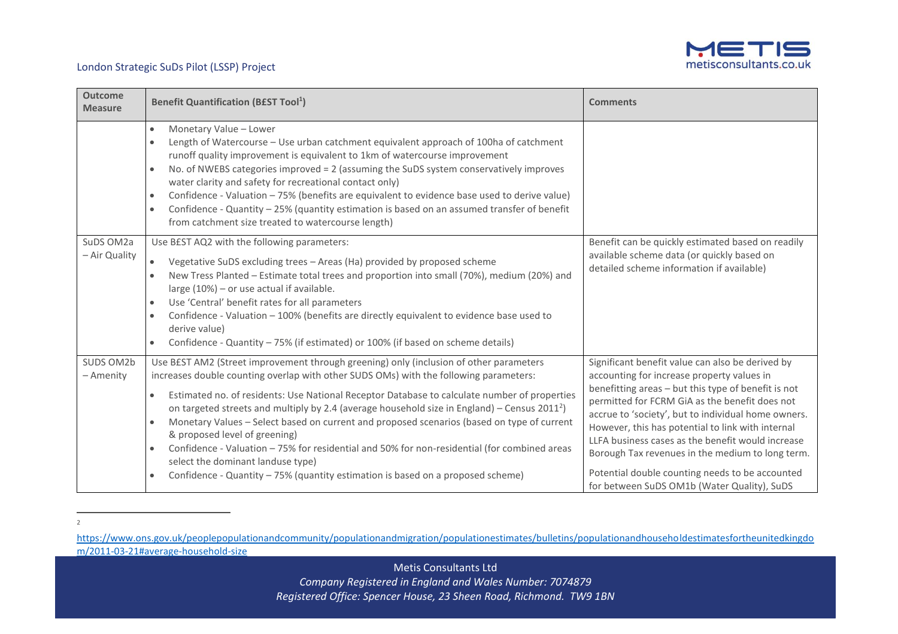

| <b>Outcome</b><br><b>Measure</b> | <b>Benefit Quantification (BEST Tool1)</b>                                                                                                                                                                                                                                                                                                                                                                                                                                                                                                                                                                                                                                                                                                                  | <b>Comments</b>                                                                                                                                                                                                                                                                                                                                                                                                                                                                                                                |
|----------------------------------|-------------------------------------------------------------------------------------------------------------------------------------------------------------------------------------------------------------------------------------------------------------------------------------------------------------------------------------------------------------------------------------------------------------------------------------------------------------------------------------------------------------------------------------------------------------------------------------------------------------------------------------------------------------------------------------------------------------------------------------------------------------|--------------------------------------------------------------------------------------------------------------------------------------------------------------------------------------------------------------------------------------------------------------------------------------------------------------------------------------------------------------------------------------------------------------------------------------------------------------------------------------------------------------------------------|
|                                  | Monetary Value - Lower<br>$\bullet$<br>Length of Watercourse - Use urban catchment equivalent approach of 100ha of catchment<br>runoff quality improvement is equivalent to 1km of watercourse improvement<br>No. of NWEBS categories improved = 2 (assuming the SuDS system conservatively improves<br>water clarity and safety for recreational contact only)<br>Confidence - Valuation - 75% (benefits are equivalent to evidence base used to derive value)<br>$\bullet$<br>Confidence - Quantity - 25% (quantity estimation is based on an assumed transfer of benefit<br>$\bullet$<br>from catchment size treated to watercourse length)                                                                                                              |                                                                                                                                                                                                                                                                                                                                                                                                                                                                                                                                |
| SuDS OM2a<br>- Air Quality       | Use BEST AQ2 with the following parameters:<br>Vegetative SuDS excluding trees - Areas (Ha) provided by proposed scheme<br>New Tress Planted - Estimate total trees and proportion into small (70%), medium (20%) and<br>large (10%) - or use actual if available.<br>Use 'Central' benefit rates for all parameters<br>$\bullet$<br>Confidence - Valuation - 100% (benefits are directly equivalent to evidence base used to<br>$\bullet$<br>derive value)<br>Confidence - Quantity - 75% (if estimated) or 100% (if based on scheme details)                                                                                                                                                                                                              | Benefit can be quickly estimated based on readily<br>available scheme data (or quickly based on<br>detailed scheme information if available)                                                                                                                                                                                                                                                                                                                                                                                   |
| SUDS OM2b<br>- Amenity           | Use BEST AM2 (Street improvement through greening) only (inclusion of other parameters<br>increases double counting overlap with other SUDS OMs) with the following parameters:<br>Estimated no. of residents: Use National Receptor Database to calculate number of properties<br>$\bullet$<br>on targeted streets and multiply by 2.4 (average household size in England) – Census $2011^2$ )<br>Monetary Values - Select based on current and proposed scenarios (based on type of current<br>٠<br>& proposed level of greening)<br>Confidence - Valuation - 75% for residential and 50% for non-residential (for combined areas<br>select the dominant landuse type)<br>Confidence - Quantity - 75% (quantity estimation is based on a proposed scheme) | Significant benefit value can also be derived by<br>accounting for increase property values in<br>benefitting areas - but this type of benefit is not<br>permitted for FCRM GiA as the benefit does not<br>accrue to 'society', but to individual home owners.<br>However, this has potential to link with internal<br>LLFA business cases as the benefit would increase<br>Borough Tax revenues in the medium to long term.<br>Potential double counting needs to be accounted<br>for between SuDS OM1b (Water Quality), SuDS |

2

[https://www.ons.gov.uk/peoplepopulationandcommunity/populationandmigration/populationestimates/bulletins/populationandhouseholdestimatesfortheunitedkingdo](https://www.ons.gov.uk/peoplepopulationandcommunity/populationandmigration/populationestimates/bulletins/populationandhouseholdestimatesfortheunitedkingdom/2011-03-21#average-household-size) [m/2011-03-21#average-household-size](https://www.ons.gov.uk/peoplepopulationandcommunity/populationandmigration/populationestimates/bulletins/populationandhouseholdestimatesfortheunitedkingdom/2011-03-21#average-household-size)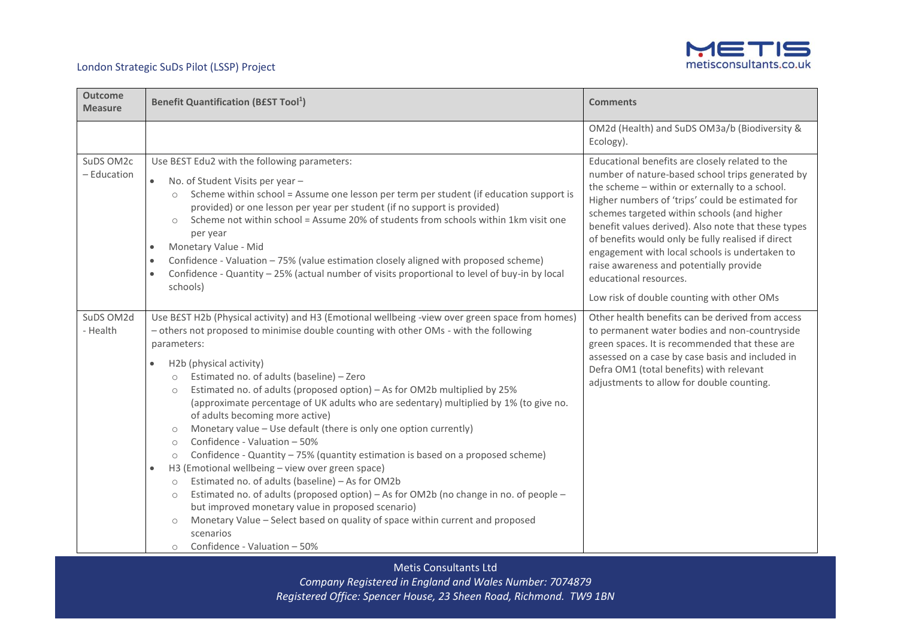

| <b>Outcome</b><br><b>Measure</b> | <b>Benefit Quantification (BEST Tool1)</b>                                                                                                                                                                                                                                                                                                                                                                                                                                                                                                                                                                                                                                                                                                                                                                                                                                                                                                                                                                                                                                                                                                                                             | <b>Comments</b>                                                                                                                                                                                                                                                                                                                                                                                                                                                                                                                            |  |
|----------------------------------|----------------------------------------------------------------------------------------------------------------------------------------------------------------------------------------------------------------------------------------------------------------------------------------------------------------------------------------------------------------------------------------------------------------------------------------------------------------------------------------------------------------------------------------------------------------------------------------------------------------------------------------------------------------------------------------------------------------------------------------------------------------------------------------------------------------------------------------------------------------------------------------------------------------------------------------------------------------------------------------------------------------------------------------------------------------------------------------------------------------------------------------------------------------------------------------|--------------------------------------------------------------------------------------------------------------------------------------------------------------------------------------------------------------------------------------------------------------------------------------------------------------------------------------------------------------------------------------------------------------------------------------------------------------------------------------------------------------------------------------------|--|
|                                  |                                                                                                                                                                                                                                                                                                                                                                                                                                                                                                                                                                                                                                                                                                                                                                                                                                                                                                                                                                                                                                                                                                                                                                                        | OM2d (Health) and SuDS OM3a/b (Biodiversity &<br>Ecology).                                                                                                                                                                                                                                                                                                                                                                                                                                                                                 |  |
| SuDS OM2c<br>- Education         | Use BEST Edu2 with the following parameters:<br>No. of Student Visits per year -<br>$\bullet$<br>Scheme within school = Assume one lesson per term per student (if education support is<br>$\circ$<br>provided) or one lesson per year per student (if no support is provided)<br>Scheme not within school = Assume 20% of students from schools within 1km visit one<br>$\circ$<br>per year<br>Monetary Value - Mid<br>$\bullet$<br>Confidence - Valuation - 75% (value estimation closely aligned with proposed scheme)<br>$\bullet$<br>Confidence - Quantity - 25% (actual number of visits proportional to level of buy-in by local<br>$\bullet$<br>schools)                                                                                                                                                                                                                                                                                                                                                                                                                                                                                                                       | Educational benefits are closely related to the<br>number of nature-based school trips generated by<br>the scheme - within or externally to a school.<br>Higher numbers of 'trips' could be estimated for<br>schemes targeted within schools (and higher<br>benefit values derived). Also note that these types<br>of benefits would only be fully realised if direct<br>engagement with local schools is undertaken to<br>raise awareness and potentially provide<br>educational resources.<br>Low risk of double counting with other OMs |  |
| SuDS OM2d<br>- Health            | Use B£ST H2b (Physical activity) and H3 (Emotional wellbeing -view over green space from homes)<br>- others not proposed to minimise double counting with other OMs - with the following<br>parameters:<br>H2b (physical activity)<br>$\bullet$<br>Estimated no. of adults (baseline) - Zero<br>$\circ$<br>Estimated no. of adults (proposed option) - As for OM2b multiplied by 25%<br>$\circ$<br>(approximate percentage of UK adults who are sedentary) multiplied by 1% (to give no.<br>of adults becoming more active)<br>Monetary value - Use default (there is only one option currently)<br>Confidence - Valuation - 50%<br>$\circ$<br>Confidence - Quantity - 75% (quantity estimation is based on a proposed scheme)<br>$\circ$<br>H3 (Emotional wellbeing - view over green space)<br>$\bullet$<br>Estimated no. of adults (baseline) - As for OM2b<br>$\circ$<br>Estimated no. of adults (proposed option) - As for OM2b (no change in no. of people -<br>$\circ$<br>but improved monetary value in proposed scenario)<br>Monetary Value - Select based on quality of space within current and proposed<br>$\circ$<br>scenarios<br>Confidence - Valuation - 50%<br>$\circ$ | Other health benefits can be derived from access<br>to permanent water bodies and non-countryside<br>green spaces. It is recommended that these are<br>assessed on a case by case basis and included in<br>Defra OM1 (total benefits) with relevant<br>adjustments to allow for double counting.                                                                                                                                                                                                                                           |  |

Metis Consultants Ltd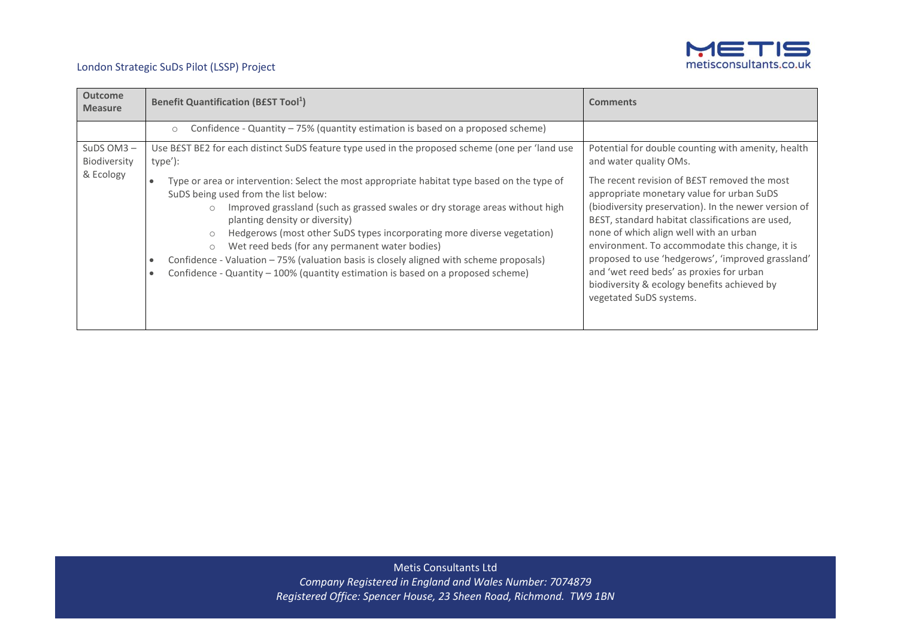

| <b>Outcome</b><br><b>Measure</b> | <b>Benefit Quantification (BEST Tool1)</b>                                                                                                                                                                                                                                                                                                                                                                                                                                                                                                                                              | <b>Comments</b>                                                                                                                                                                                                                                                                                                                                                                                                                                                              |
|----------------------------------|-----------------------------------------------------------------------------------------------------------------------------------------------------------------------------------------------------------------------------------------------------------------------------------------------------------------------------------------------------------------------------------------------------------------------------------------------------------------------------------------------------------------------------------------------------------------------------------------|------------------------------------------------------------------------------------------------------------------------------------------------------------------------------------------------------------------------------------------------------------------------------------------------------------------------------------------------------------------------------------------------------------------------------------------------------------------------------|
|                                  | Confidence - Quantity – 75% (quantity estimation is based on a proposed scheme)<br>$\circ$                                                                                                                                                                                                                                                                                                                                                                                                                                                                                              |                                                                                                                                                                                                                                                                                                                                                                                                                                                                              |
| SuDS $OM3 -$<br>Biodiversity     | Use BEST BE2 for each distinct SuDS feature type used in the proposed scheme (one per 'land use<br>type'):                                                                                                                                                                                                                                                                                                                                                                                                                                                                              | Potential for double counting with amenity, health<br>and water quality OMs.                                                                                                                                                                                                                                                                                                                                                                                                 |
| & Ecology                        | Type or area or intervention: Select the most appropriate habitat type based on the type of<br>SuDS being used from the list below:<br>Improved grassland (such as grassed swales or dry storage areas without high<br>$\circ$<br>planting density or diversity)<br>Hedgerows (most other SuDS types incorporating more diverse vegetation)<br>Wet reed beds (for any permanent water bodies)<br>$\circ$<br>Confidence - Valuation - 75% (valuation basis is closely aligned with scheme proposals)<br>Confidence - Quantity - 100% (quantity estimation is based on a proposed scheme) | The recent revision of BEST removed the most<br>appropriate monetary value for urban SuDS<br>(biodiversity preservation). In the newer version of<br>BEST, standard habitat classifications are used,<br>none of which align well with an urban<br>environment. To accommodate this change, it is<br>proposed to use 'hedgerows', 'improved grassland'<br>and 'wet reed beds' as proxies for urban<br>biodiversity & ecology benefits achieved by<br>vegetated SuDS systems. |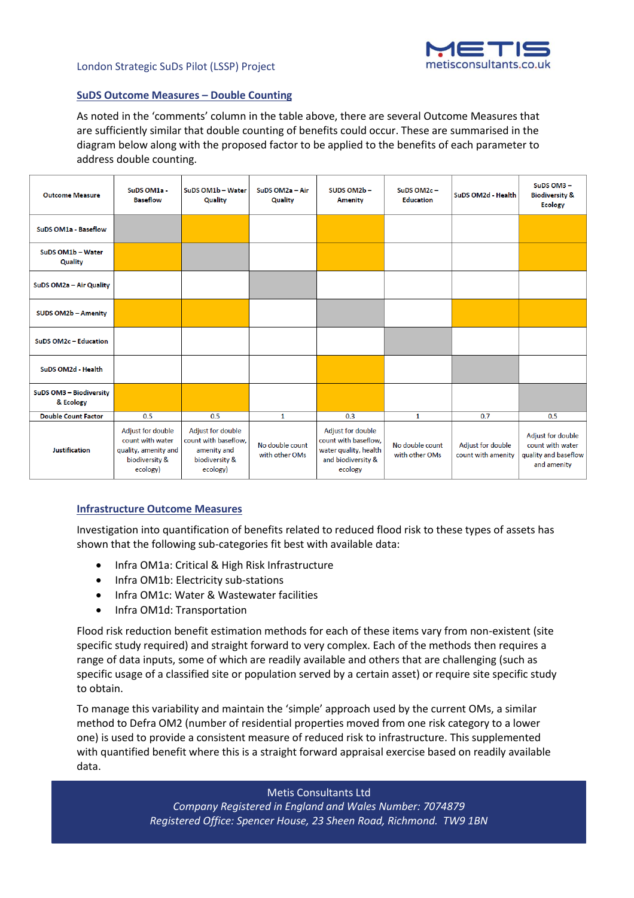

## **SuDS Outcome Measures – Double Counting**

As noted in the 'comments' column in the table above, there are several Outcome Measures that are sufficiently similar that double counting of benefits could occur. These are summarised in the diagram below along with the proposed factor to be applied to the benefits of each parameter to address double counting.

| <b>Outcome Measure</b>               | SuDS OM1a -<br><b>Baseflow</b>                                                              | SuDS OM1b - Water<br>Quality                                                           | SuDS OM2a - Air<br>Quality        | SUDS OM2b-<br><b>Amenity</b>                                                                        | SuDS OM2c-<br><b>Education</b>    | SuDS OM2d - Health                      | SuDS OM3-<br><b>Biodiversity &amp;</b><br><b>Ecology</b>                     |
|--------------------------------------|---------------------------------------------------------------------------------------------|----------------------------------------------------------------------------------------|-----------------------------------|-----------------------------------------------------------------------------------------------------|-----------------------------------|-----------------------------------------|------------------------------------------------------------------------------|
| SuDS OM1a - Baseflow                 |                                                                                             |                                                                                        |                                   |                                                                                                     |                                   |                                         |                                                                              |
| SuDS OM1b - Water<br>Quality         |                                                                                             |                                                                                        |                                   |                                                                                                     |                                   |                                         |                                                                              |
| SuDS OM2a - Air Quality              |                                                                                             |                                                                                        |                                   |                                                                                                     |                                   |                                         |                                                                              |
| <b>SUDS OM2b - Amenity</b>           |                                                                                             |                                                                                        |                                   |                                                                                                     |                                   |                                         |                                                                              |
| SuDS OM2c-Education                  |                                                                                             |                                                                                        |                                   |                                                                                                     |                                   |                                         |                                                                              |
| SuDS OM2d - Health                   |                                                                                             |                                                                                        |                                   |                                                                                                     |                                   |                                         |                                                                              |
| SuDS OM3 - Biodiversity<br>& Ecology |                                                                                             |                                                                                        |                                   |                                                                                                     |                                   |                                         |                                                                              |
| <b>Double Count Factor</b>           | 0.5                                                                                         | 0.5                                                                                    | $\mathbf{1}$                      | 0.3                                                                                                 | 1                                 | 0.7                                     | 0.5                                                                          |
| <b>Justification</b>                 | Adjust for double<br>count with water<br>quality, amenity and<br>biodiversity &<br>ecology) | Adjust for double<br>count with baseflow,<br>amenity and<br>biodiversity &<br>ecology) | No double count<br>with other OMs | Adjust for double<br>count with baseflow,<br>water quality, health<br>and biodiversity &<br>ecology | No double count<br>with other OMs | Adjust for double<br>count with amenity | Adjust for double<br>count with water<br>quality and baseflow<br>and amenity |

## **Infrastructure Outcome Measures**

Investigation into quantification of benefits related to reduced flood risk to these types of assets has shown that the following sub-categories fit best with available data:

- Infra OM1a: Critical & High Risk Infrastructure
- Infra OM1b: Electricity sub-stations
- Infra OM1c: Water & Wastewater facilities
- Infra OM1d: Transportation

Flood risk reduction benefit estimation methods for each of these items vary from non-existent (site specific study required) and straight forward to very complex. Each of the methods then requires a range of data inputs, some of which are readily available and others that are challenging (such as specific usage of a classified site or population served by a certain asset) or require site specific study to obtain.

To manage this variability and maintain the 'simple' approach used by the current OMs, a similar method to Defra OM2 (number of residential properties moved from one risk category to a lower one) is used to provide a consistent measure of reduced risk to infrastructure. This supplemented with quantified benefit where this is a straight forward appraisal exercise based on readily available data.

Metis Consultants Ltd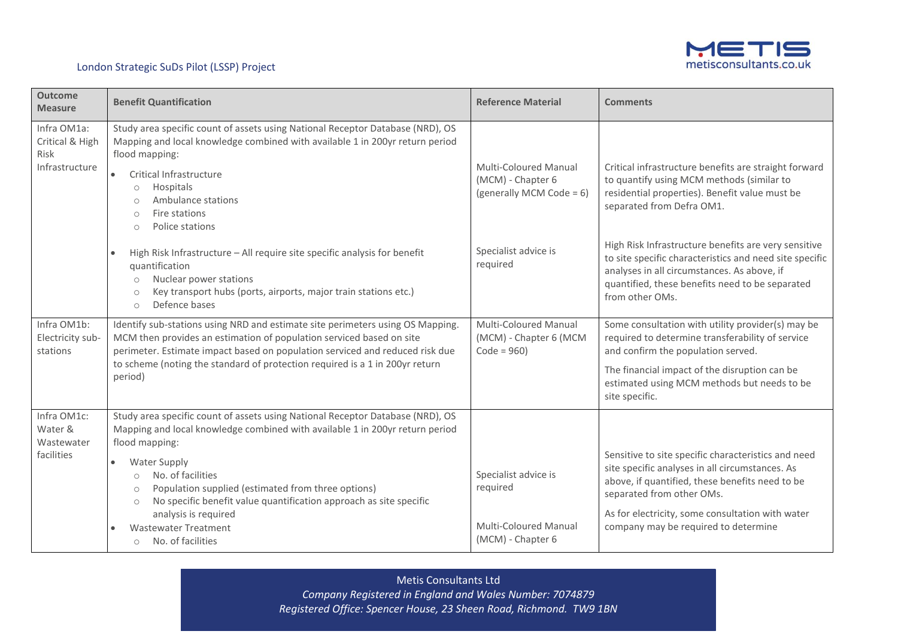

| <b>Outcome</b><br><b>Measure</b>                         | <b>Benefit Quantification</b>                                                                                                                                                                                                                                                                                                        | <b>Reference Material</b>                                              | <b>Comments</b>                                                                                                                                                                                                                      |
|----------------------------------------------------------|--------------------------------------------------------------------------------------------------------------------------------------------------------------------------------------------------------------------------------------------------------------------------------------------------------------------------------------|------------------------------------------------------------------------|--------------------------------------------------------------------------------------------------------------------------------------------------------------------------------------------------------------------------------------|
| Infra OM1a:<br>Critical & High<br>Risk<br>Infrastructure | Study area specific count of assets using National Receptor Database (NRD), OS<br>Mapping and local knowledge combined with available 1 in 200yr return period<br>flood mapping:<br>Critical Infrastructure<br>Hospitals<br>$\circ$<br>Ambulance stations<br>$\bigcirc$<br>Fire stations<br>$\bigcirc$<br>Police stations<br>$\circ$ | Multi-Coloured Manual<br>(MCM) - Chapter 6<br>(generally MCM Code = 6) | Critical infrastructure benefits are straight forward<br>to quantify using MCM methods (similar to<br>residential properties). Benefit value must be<br>separated from Defra OM1.                                                    |
|                                                          | High Risk Infrastructure - All require site specific analysis for benefit<br>quantification<br>Nuclear power stations<br>$\circ$<br>Key transport hubs (ports, airports, major train stations etc.)<br>$\circ$<br>Defence bases<br>$\bigcirc$                                                                                        | Specialist advice is<br>required                                       | High Risk Infrastructure benefits are very sensitive<br>to site specific characteristics and need site specific<br>analyses in all circumstances. As above, if<br>quantified, these benefits need to be separated<br>from other OMs. |
| Infra OM1b:<br>Electricity sub-<br>stations              | Identify sub-stations using NRD and estimate site perimeters using OS Mapping.<br>MCM then provides an estimation of population serviced based on site<br>perimeter. Estimate impact based on population serviced and reduced risk due                                                                                               | Multi-Coloured Manual<br>(MCM) - Chapter 6 (MCM<br>$Code = 960$        | Some consultation with utility provider(s) may be<br>required to determine transferability of service<br>and confirm the population served.                                                                                          |
|                                                          | to scheme (noting the standard of protection required is a 1 in 200yr return<br>period)                                                                                                                                                                                                                                              |                                                                        | The financial impact of the disruption can be<br>estimated using MCM methods but needs to be<br>site specific.                                                                                                                       |
| Infra OM1c:<br>Water &<br>Wastewater<br>facilities       | Study area specific count of assets using National Receptor Database (NRD), OS<br>Mapping and local knowledge combined with available 1 in 200yr return period<br>flood mapping:                                                                                                                                                     |                                                                        |                                                                                                                                                                                                                                      |
|                                                          | <b>Water Supply</b><br>No. of facilities<br>$\circ$<br>Population supplied (estimated from three options)<br>$\circ$<br>No specific benefit value quantification approach as site specific<br>$\circ$                                                                                                                                | Specialist advice is<br>required                                       | Sensitive to site specific characteristics and need<br>site specific analyses in all circumstances. As<br>above, if quantified, these benefits need to be<br>separated from other OMs.                                               |
|                                                          | analysis is required<br><b>Wastewater Treatment</b><br>No. of facilities<br>$\circ$                                                                                                                                                                                                                                                  | Multi-Coloured Manual<br>(MCM) - Chapter 6                             | As for electricity, some consultation with water<br>company may be required to determine                                                                                                                                             |